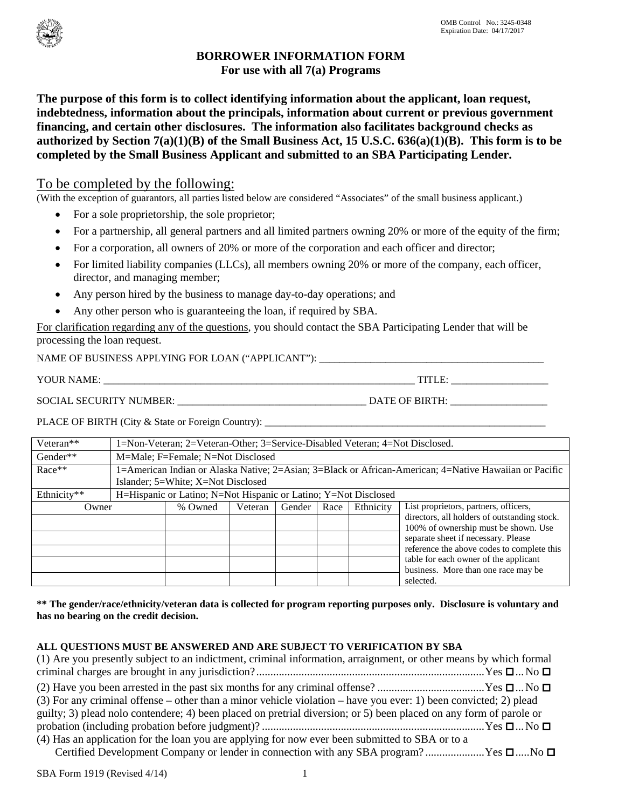

## **BORROWER INFORMATION FORM For use with all 7(a) Programs**

**The purpose of this form is to collect identifying information about the applicant, loan request, indebtedness, information about the principals, information about current or previous government financing, and certain other disclosures. The information also facilitates background checks as authorized by Section 7(a)(1)(B) of the Small Business Act, 15 U.S.C. 636(a)(1)(B). This form is to be completed by the Small Business Applicant and submitted to an SBA Participating Lender.**

To be completed by the following:<br>(With the exception of guarantors, all parties listed below are considered "Associates" of the small business applicant.)

- For a sole proprietorship, the sole proprietor;
- For a partnership, all general partners and all limited partners owning 20% or more of the equity of the firm;
- For a corporation, all owners of 20% or more of the corporation and each officer and director;
- For limited liability companies (LLCs), all members owning 20% or more of the company, each officer, director, and managing member;
- Any person hired by the business to manage day-to-day operations; and
- Any other person who is guaranteeing the loan, if required by SBA.

For clarification regarding any of the questions, you should contact the SBA Participating Lender that will be processing the loan request.

NAME OF BUSINESS APPLYING FOR LOAN ("APPLICANT"):

YOUR NAME: TITLE:

SOCIAL SECURITY NUMBER: \_\_\_\_\_\_\_\_\_\_\_\_\_\_\_\_\_\_\_\_\_\_\_\_\_\_\_\_\_\_\_\_\_\_\_\_\_ DATE OF BIRTH: \_\_\_\_\_\_\_\_\_\_\_\_\_\_\_\_\_\_\_

PLACE OF BIRTH (City & State or Foreign Country): \_\_\_\_\_\_\_\_\_\_\_\_\_\_\_\_\_\_\_\_\_\_\_\_\_\_\_\_\_\_\_

| Veteran <sup>**</sup> | 1=Non-Veteran; 2=Veteran-Other; 3=Service-Disabled Veteran; 4=Not Disclosed.                                                                 |         |         |        |      |           |                                                                                                                                         |  |
|-----------------------|----------------------------------------------------------------------------------------------------------------------------------------------|---------|---------|--------|------|-----------|-----------------------------------------------------------------------------------------------------------------------------------------|--|
| Gender**              | M=Male; F=Female; N=Not Disclosed                                                                                                            |         |         |        |      |           |                                                                                                                                         |  |
| $Race**$              | 1=American Indian or Alaska Native; 2=Asian; 3=Black or African-American; 4=Native Hawaiian or Pacific<br>Islander; 5=White; X=Not Disclosed |         |         |        |      |           |                                                                                                                                         |  |
| Ethnicity**           | H=Hispanic or Latino; N=Not Hispanic or Latino; Y=Not Disclosed                                                                              |         |         |        |      |           |                                                                                                                                         |  |
| Owner                 |                                                                                                                                              | % Owned | Veteran | Gender | Race | Ethnicity | List proprietors, partners, officers,                                                                                                   |  |
|                       |                                                                                                                                              |         |         |        |      |           | directors, all holders of outstanding stock.<br>100% of ownership must be shown. Use<br>separate sheet if necessary. Please             |  |
|                       |                                                                                                                                              |         |         |        |      |           | reference the above codes to complete this<br>table for each owner of the applicant<br>business. More than one race may be<br>selected. |  |
|                       |                                                                                                                                              |         |         |        |      |           |                                                                                                                                         |  |

**\*\* The gender/race/ethnicity/veteran data is collected for program reporting purposes only. Disclosure is voluntary and has no bearing on the credit decision.**

#### **ALL QUESTIONS MUST BE ANSWERED AND ARE SUBJECT TO VERIFICATION BY SBA**

| (1) Are you presently subject to an indictment, criminal information, arraignment, or other means by which formal  |  |
|--------------------------------------------------------------------------------------------------------------------|--|
|                                                                                                                    |  |
|                                                                                                                    |  |
| (3) For any criminal offense – other than a minor vehicle violation – have you ever: 1) been convicted; 2) plead   |  |
| guilty; 3) plead nolo contendere; 4) been placed on pretrial diversion; or 5) been placed on any form of parole or |  |
|                                                                                                                    |  |
| (4) Has an application for the loan you are applying for now ever been submitted to SBA or to a                    |  |
| Certified Development Company or lender in connection with any SBA program? Yes □No □                              |  |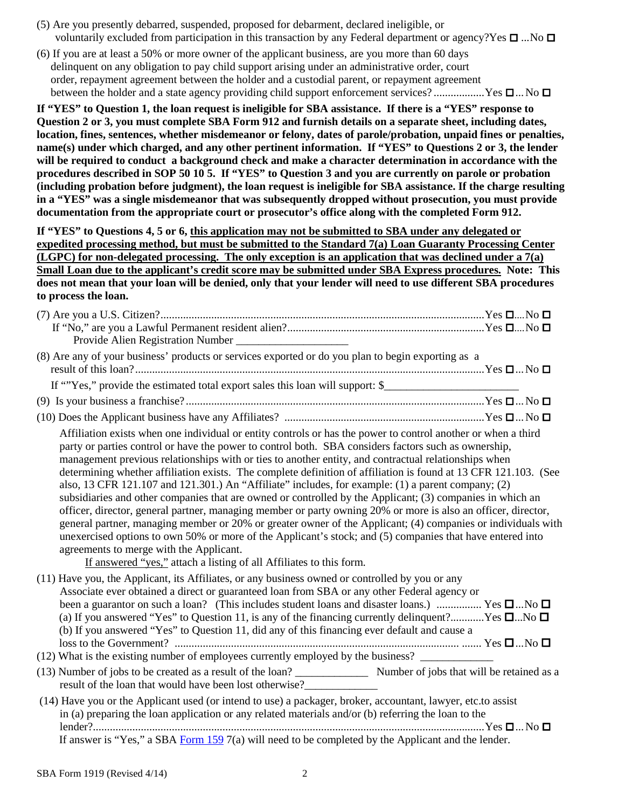- (5) Are you presently debarred, suspended, proposed for debarment, declared ineligible, or voluntarily excluded from participation in this transaction by any Federal department or agency? Yes  $\Box$ ... No  $\Box$
- (6) If you are at least a 50% or more owner of the applicant business, are you more than 60 days delinquent on any obligation to pay child support arising under an administrative order, court order, repayment agreement between the holder and a custodial parent, or repayment agreement between the holder and a state agency providing child support enforcement services? ...................Yes  $\square$ ...No  $\square$

**If "YES" to Question 1, the loan request is ineligible for SBA assistance. If there is a "YES" response to Question 2 or 3, you must complete SBA Form 912 and furnish details on a separate sheet, including dates, location, fines, sentences, whether misdemeanor or felony, dates of parole/probation, unpaid fines or penalties, name(s) under which charged, and any other pertinent information. If "YES" to Questions 2 or 3, the lender will be required to conduct a background check and make a character determination in accordance with the procedures described in SOP 50 10 5. If "YES" to Question 3 and you are currently on parole or probation (including probation before judgment), the loan request is ineligible for SBA assistance. If the charge resulting in a "YES" was a single misdemeanor that was subsequently dropped without prosecution, you must provide documentation from the appropriate court or prosecutor's office along with the completed Form 912.** 

**If "YES" to Questions 4, 5 or 6, this application may not be submitted to SBA under any delegated or expedited processing method, but must be submitted to the Standard 7(a) Loan Guaranty Processing Center (LGPC) for non-delegated processing. The only exception is an application that was declined under a 7(a) Small Loan due to the applicant's credit score may be submitted under SBA Express procedures. Note: This does not mean that your loan will be denied, only that your lender will need to use different SBA procedures to process the loan.**

| (8) Are any of your business' products or services exported or do you plan to begin exporting as a                                                                                                                                                                                                                                                                                                                                                                                                                                                                                                                                                                                                                                                                                                                                                                                                                                                                                                                                                                                                                                  |  |
|-------------------------------------------------------------------------------------------------------------------------------------------------------------------------------------------------------------------------------------------------------------------------------------------------------------------------------------------------------------------------------------------------------------------------------------------------------------------------------------------------------------------------------------------------------------------------------------------------------------------------------------------------------------------------------------------------------------------------------------------------------------------------------------------------------------------------------------------------------------------------------------------------------------------------------------------------------------------------------------------------------------------------------------------------------------------------------------------------------------------------------------|--|
| If ""Yes," provide the estimated total export sales this loan will support: \$                                                                                                                                                                                                                                                                                                                                                                                                                                                                                                                                                                                                                                                                                                                                                                                                                                                                                                                                                                                                                                                      |  |
|                                                                                                                                                                                                                                                                                                                                                                                                                                                                                                                                                                                                                                                                                                                                                                                                                                                                                                                                                                                                                                                                                                                                     |  |
|                                                                                                                                                                                                                                                                                                                                                                                                                                                                                                                                                                                                                                                                                                                                                                                                                                                                                                                                                                                                                                                                                                                                     |  |
| Affiliation exists when one individual or entity controls or has the power to control another or when a third<br>party or parties control or have the power to control both. SBA considers factors such as ownership,<br>management previous relationships with or ties to another entity, and contractual relationships when<br>determining whether affiliation exists. The complete definition of affiliation is found at 13 CFR 121.103. (See<br>also, 13 CFR 121.107 and 121.301.) An "Affiliate" includes, for example: (1) a parent company; (2)<br>subsidiaries and other companies that are owned or controlled by the Applicant; (3) companies in which an<br>officer, director, general partner, managing member or party owning 20% or more is also an officer, director,<br>general partner, managing member or 20% or greater owner of the Applicant; (4) companies or individuals with<br>unexercised options to own 50% or more of the Applicant's stock; and (5) companies that have entered into<br>agreements to merge with the Applicant.<br>If answered "yes," attach a listing of all Affiliates to this form. |  |
| (11) Have you, the Applicant, its Affiliates, or any business owned or controlled by you or any<br>Associate ever obtained a direct or guaranteed loan from SBA or any other Federal agency or<br>been a guarantor on such a loan? (This includes student loans and disaster loans.)  Yes $\square$ No $\square$<br>(a) If you answered "Yes" to Question 11, is any of the financing currently delinquent?Yes $\square$ No $\square$<br>(b) If you answered "Yes" to Question 11, did any of this financing ever default and cause a<br>(12) What is the existing number of employees currently employed by the business?                                                                                                                                                                                                                                                                                                                                                                                                                                                                                                          |  |
| (13) Number of jobs to be created as a result of the loan?<br>Number of jobs that will be retained as a<br>result of the loan that would have been lost otherwise?                                                                                                                                                                                                                                                                                                                                                                                                                                                                                                                                                                                                                                                                                                                                                                                                                                                                                                                                                                  |  |
| (14) Have you or the Applicant used (or intend to use) a packager, broker, accountant, lawyer, etc.to assist<br>in (a) preparing the loan application or any related materials and/or (b) referring the loan to the                                                                                                                                                                                                                                                                                                                                                                                                                                                                                                                                                                                                                                                                                                                                                                                                                                                                                                                 |  |
| If answer is "Yes," a SBA Form $159$ 7(a) will need to be completed by the Applicant and the lender.                                                                                                                                                                                                                                                                                                                                                                                                                                                                                                                                                                                                                                                                                                                                                                                                                                                                                                                                                                                                                                |  |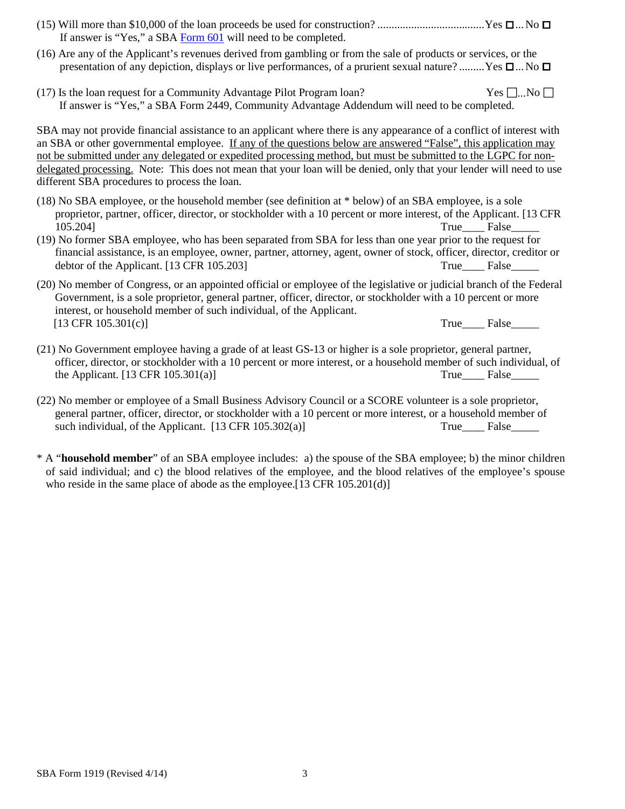| If answer is "Yes," a SBA Form 601 will need to be completed.                                                                                                                                                                                                                                                                                                                                                                                                                                                                                                               |
|-----------------------------------------------------------------------------------------------------------------------------------------------------------------------------------------------------------------------------------------------------------------------------------------------------------------------------------------------------------------------------------------------------------------------------------------------------------------------------------------------------------------------------------------------------------------------------|
| (16) Are any of the Applicant's revenues derived from gambling or from the sale of products or services, or the<br>presentation of any depiction, displays or live performances, of a prurient sexual nature?  Yes $\square$ No $\square$                                                                                                                                                                                                                                                                                                                                   |
| (17) Is the loan request for a Community Advantage Pilot Program loan?<br>Yes $\Box$ No $\Box$<br>If answer is "Yes," a SBA Form 2449, Community Advantage Addendum will need to be completed.                                                                                                                                                                                                                                                                                                                                                                              |
| SBA may not provide financial assistance to an applicant where there is any appearance of a conflict of interest with<br>an SBA or other governmental employee. If any of the questions below are answered "False", this application may<br>not be submitted under any delegated or expedited processing method, but must be submitted to the LGPC for non-<br>delegated processing. Note: This does not mean that your loan will be denied, only that your lender will need to use<br>different SBA procedures to process the loan.                                        |
| (18) No SBA employee, or the household member (see definition at * below) of an SBA employee, is a sole<br>proprietor, partner, officer, director, or stockholder with a 10 percent or more interest, of the Applicant. [13 CFR<br>105.2041<br>True False<br>(19) No former SBA employee, who has been separated from SBA for less than one year prior to the request for<br>financial assistance, is an employee, owner, partner, attorney, agent, owner of stock, officer, director, creditor or<br>debtor of the Applicant. [13 CFR 105.203]<br>True <sub>ll</sub> False |
| (20) No member of Congress, or an appointed official or employee of the legislative or judicial branch of the Federal<br>Government, is a sole proprietor, general partner, officer, director, or stockholder with a 10 percent or more<br>interest, or household member of such individual, of the Applicant.<br>True False<br>$[13 \text{ CFR } 105.301(c)]$                                                                                                                                                                                                              |
| (21) No Government employee having a grade of at least GS-13 or higher is a sole proprietor, general partner,<br>officer, director, or stockholder with a 10 percent or more interest, or a household member of such individual, of<br>the Applicant. $[13 \text{ CFR } 105.301(a)]$<br>True <sub>_____</sub> False_____                                                                                                                                                                                                                                                    |
| (22) No member or employee of a Small Business Advisory Council or a SCORE volunteer is a sole proprietor,                                                                                                                                                                                                                                                                                                                                                                                                                                                                  |

- general partner, officer, director, or stockholder with a 10 percent or more interest, or a household member of such individual, of the Applicant.  $[13 \text{ CFR } 105.302(a)]$
- \* A "**household member**" of an SBA employee includes: a) the spouse of the SBA employee; b) the minor children of said individual; and c) the blood relatives of the employee, and the blood relatives of the employee's spouse who reside in the same place of abode as the employee.[13 CFR 105.201(d)]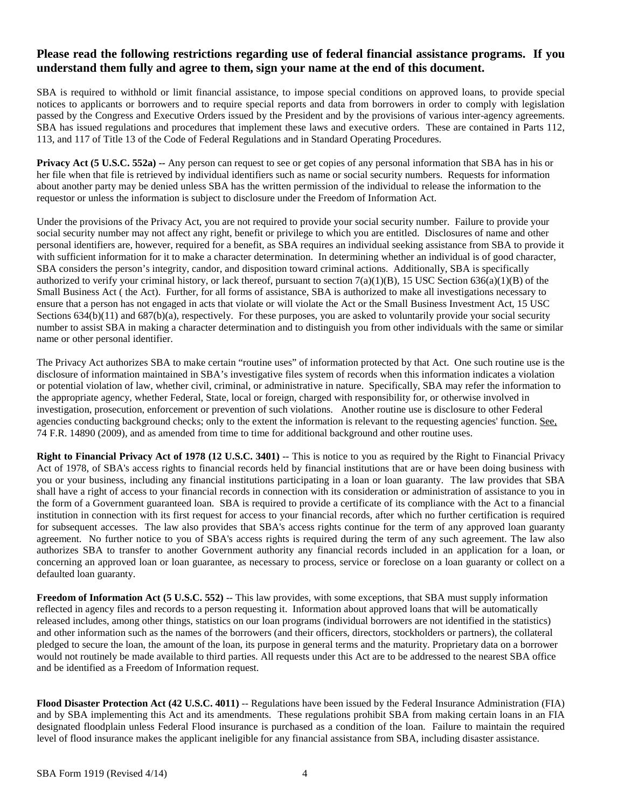## **Please read the following restrictions regarding use of federal financial assistance programs. If you understand them fully and agree to them, sign your name at the end of this document.**

SBA is required to withhold or limit financial assistance, to impose special conditions on approved loans, to provide special notices to applicants or borrowers and to require special reports and data from borrowers in order to comply with legislation passed by the Congress and Executive Orders issued by the President and by the provisions of various inter-agency agreements. SBA has issued regulations and procedures that implement these laws and executive orders. These are contained in Parts 112, 113, and 117 of Title 13 of the Code of Federal Regulations and in Standard Operating Procedures.

**Privacy Act (5 U.S.C. 552a) --** Any person can request to see or get copies of any personal information that SBA has in his or her file when that file is retrieved by individual identifiers such as name or social security numbers. Requests for information about another party may be denied unless SBA has the written permission of the individual to release the information to the requestor or unless the information is subject to disclosure under the Freedom of Information Act.

Under the provisions of the Privacy Act, you are not required to provide your social security number. Failure to provide your social security number may not affect any right, benefit or privilege to which you are entitled. Disclosures of name and other personal identifiers are, however, required for a benefit, as SBA requires an individual seeking assistance from SBA to provide it with sufficient information for it to make a character determination. In determining whether an individual is of good character, SBA considers the person's integrity, candor, and disposition toward criminal actions. Additionally, SBA is specifically authorized to verify your criminal history, or lack thereof, pursuant to section 7(a)(1)(B), 15 USC Section 636(a)(1)(B) of the Small Business Act ( the Act). Further, for all forms of assistance, SBA is authorized to make all investigations necessary to ensure that a person has not engaged in acts that violate or will violate the Act or the Small Business Investment Act, 15 USC Sections  $634(b)(11)$  and  $687(b)(a)$ , respectively. For these purposes, you are asked to voluntarily provide your social security number to assist SBA in making a character determination and to distinguish you from other individuals with the same or similar name or other personal identifier.

The Privacy Act authorizes SBA to make certain "routine uses" of information protected by that Act. One such routine use is the disclosure of information maintained in SBA's investigative files system of records when this information indicates a violation or potential violation of law, whether civil, criminal, or administrative in nature. Specifically, SBA may refer the information to the appropriate agency, whether Federal, State, local or foreign, charged with responsibility for, or otherwise involved in investigation, prosecution, enforcement or prevention of such violations. Another routine use is disclosure to other Federal agencies conducting background checks; only to the extent the information is relevant to the requesting agencies' function. See, 74 F.R. 14890 (2009), and as amended from time to time for additional background and other routine uses.

**Right to Financial Privacy Act of 1978 (12 U.S.C. 3401)** -- This is notice to you as required by the Right to Financial Privacy Act of 1978, of SBA's access rights to financial records held by financial institutions that are or have been doing business with you or your business, including any financial institutions participating in a loan or loan guaranty. The law provides that SBA shall have a right of access to your financial records in connection with its consideration or administration of assistance to you in the form of a Government guaranteed loan. SBA is required to provide a certificate of its compliance with the Act to a financial institution in connection with its first request for access to your financial records, after which no further certification is required for subsequent accesses. The law also provides that SBA's access rights continue for the term of any approved loan guaranty agreement. No further notice to you of SBA's access rights is required during the term of any such agreement. The law also authorizes SBA to transfer to another Government authority any financial records included in an application for a loan, or concerning an approved loan or loan guarantee, as necessary to process, service or foreclose on a loan guaranty or collect on a defaulted loan guaranty.

**Freedom of Information Act (5 U.S.C. 552)** -- This law provides, with some exceptions, that SBA must supply information reflected in agency files and records to a person requesting it. Information about approved loans that will be automatically released includes, among other things, statistics on our loan programs (individual borrowers are not identified in the statistics) and other information such as the names of the borrowers (and their officers, directors, stockholders or partners), the collateral pledged to secure the loan, the amount of the loan, its purpose in general terms and the maturity. Proprietary data on a borrower would not routinely be made available to third parties. All requests under this Act are to be addressed to the nearest SBA office and be identified as a Freedom of Information request.

**Flood Disaster Protection Act (42 U.S.C. 4011)** -- Regulations have been issued by the Federal Insurance Administration (FIA) and by SBA implementing this Act and its amendments. These regulations prohibit SBA from making certain loans in an FIA designated floodplain unless Federal Flood insurance is purchased as a condition of the loan. Failure to maintain the required level of flood insurance makes the applicant ineligible for any financial assistance from SBA, including disaster assistance.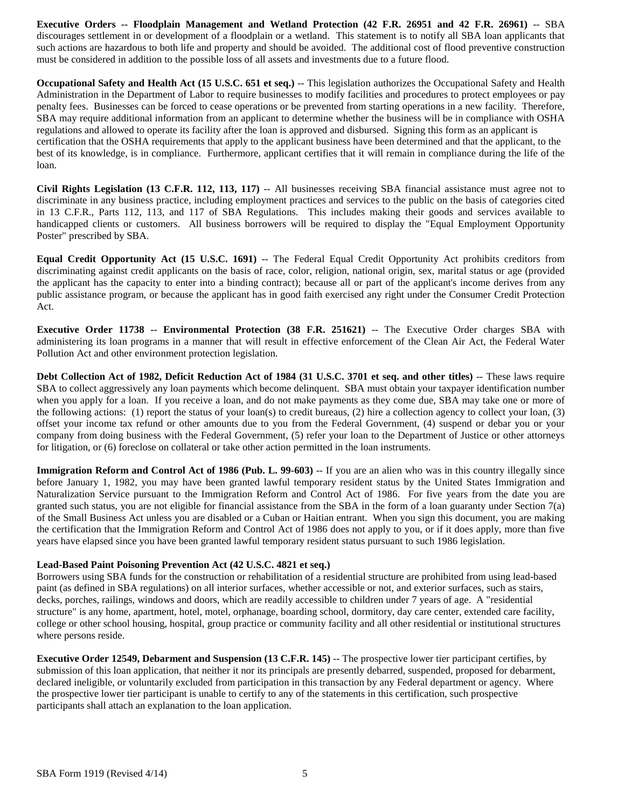**Executive Orders -- Floodplain Management and Wetland Protection (42 F.R. 26951 and 42 F.R. 26961)** -- SBA discourages settlement in or development of a floodplain or a wetland. This statement is to notify all SBA loan applicants that such actions are hazardous to both life and property and should be avoided. The additional cost of flood preventive construction must be considered in addition to the possible loss of all assets and investments due to a future flood.

**Occupational Safety and Health Act (15 U.S.C. 651 et seq.) -- This legislation authorizes the Occupational Safety and Health** Administration in the Department of Labor to require businesses to modify facilities and procedures to protect employees or pay penalty fees. Businesses can be forced to cease operations or be prevented from starting operations in a new facility. Therefore, SBA may require additional information from an applicant to determine whether the business will be in compliance with OSHA regulations and allowed to operate its facility after the loan is approved and disbursed. Signing this form as an applicant is certification that the OSHA requirements that apply to the applicant business have been determined and that the applicant, to the best of its knowledge, is in compliance. Furthermore, applicant certifies that it will remain in compliance during the life of the loan.

**Civil Rights Legislation (13 C.F.R. 112, 113, 117)** -- All businesses receiving SBA financial assistance must agree not to discriminate in any business practice, including employment practices and services to the public on the basis of categories cited in 13 C.F.R., Parts 112, 113, and 117 of SBA Regulations. This includes making their goods and services available to handicapped clients or customers. All business borrowers will be required to display the "Equal Employment Opportunity Poster" prescribed by SBA.

**Equal Credit Opportunity Act (15 U.S.C. 1691)** -- The Federal Equal Credit Opportunity Act prohibits creditors from discriminating against credit applicants on the basis of race, color, religion, national origin, sex, marital status or age (provided the applicant has the capacity to enter into a binding contract); because all or part of the applicant's income derives from any public assistance program, or because the applicant has in good faith exercised any right under the Consumer Credit Protection Act.

**Executive Order 11738 -- Environmental Protection (38 F.R. 251621)** -- The Executive Order charges SBA with administering its loan programs in a manner that will result in effective enforcement of the Clean Air Act, the Federal Water Pollution Act and other environment protection legislation.

**Debt Collection Act of 1982, Deficit Reduction Act of 1984 (31 U.S.C. 3701 et seq. and other titles)** -- These laws require SBA to collect aggressively any loan payments which become delinquent. SBA must obtain your taxpayer identification number when you apply for a loan. If you receive a loan, and do not make payments as they come due, SBA may take one or more of the following actions: (1) report the status of your loan(s) to credit bureaus, (2) hire a collection agency to collect your loan, (3) offset your income tax refund or other amounts due to you from the Federal Government, (4) suspend or debar you or your company from doing business with the Federal Government, (5) refer your loan to the Department of Justice or other attorneys for litigation, or (6) foreclose on collateral or take other action permitted in the loan instruments.

**Immigration Reform and Control Act of 1986 (Pub. L. 99-603)** -- If you are an alien who was in this country illegally since before January 1, 1982, you may have been granted lawful temporary resident status by the United States Immigration and Naturalization Service pursuant to the Immigration Reform and Control Act of 1986. For five years from the date you are granted such status, you are not eligible for financial assistance from the SBA in the form of a loan guaranty under Section 7(a) of the Small Business Act unless you are disabled or a Cuban or Haitian entrant. When you sign this document, you are making the certification that the Immigration Reform and Control Act of 1986 does not apply to you, or if it does apply, more than five years have elapsed since you have been granted lawful temporary resident status pursuant to such 1986 legislation.

#### **Lead-Based Paint Poisoning Prevention Act (42 U.S.C. 4821 et seq.)**

Borrowers using SBA funds for the construction or rehabilitation of a residential structure are prohibited from using lead-based paint (as defined in SBA regulations) on all interior surfaces, whether accessible or not, and exterior surfaces, such as stairs, decks, porches, railings, windows and doors, which are readily accessible to children under 7 years of age. A "residential structure" is any home, apartment, hotel, motel, orphanage, boarding school, dormitory, day care center, extended care facility, college or other school housing, hospital, group practice or community facility and all other residential or institutional structures where persons reside.

**Executive Order 12549, Debarment and Suspension (13 C.F.R. 145)** -- The prospective lower tier participant certifies, by submission of this loan application, that neither it nor its principals are presently debarred, suspended, proposed for debarment, declared ineligible, or voluntarily excluded from participation in this transaction by any Federal department or agency. Where the prospective lower tier participant is unable to certify to any of the statements in this certification, such prospective participants shall attach an explanation to the loan application.